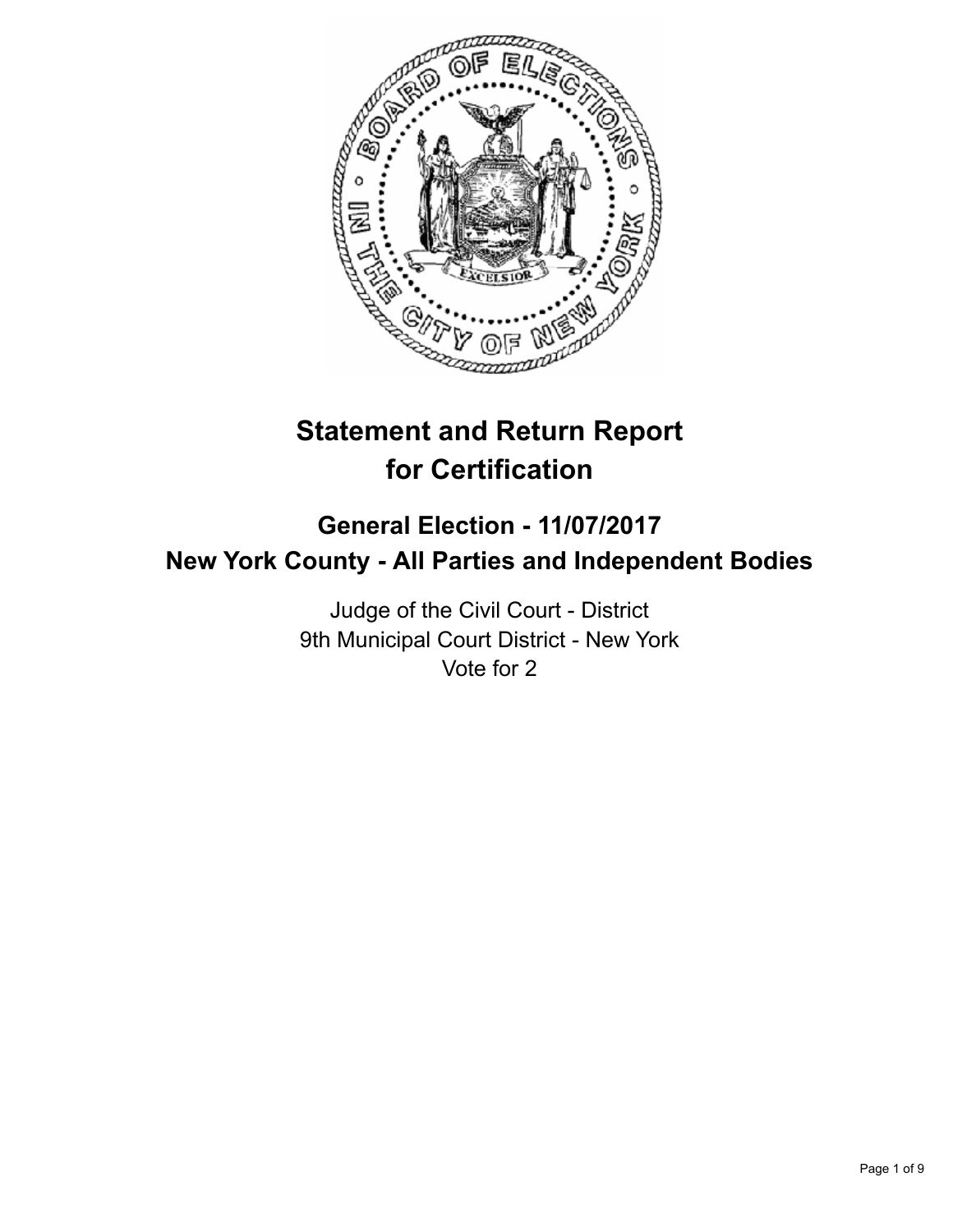

# **Statement and Return Report for Certification**

## **General Election - 11/07/2017 New York County - All Parties and Independent Bodies**

Judge of the Civil Court - District 9th Municipal Court District - New York Vote for 2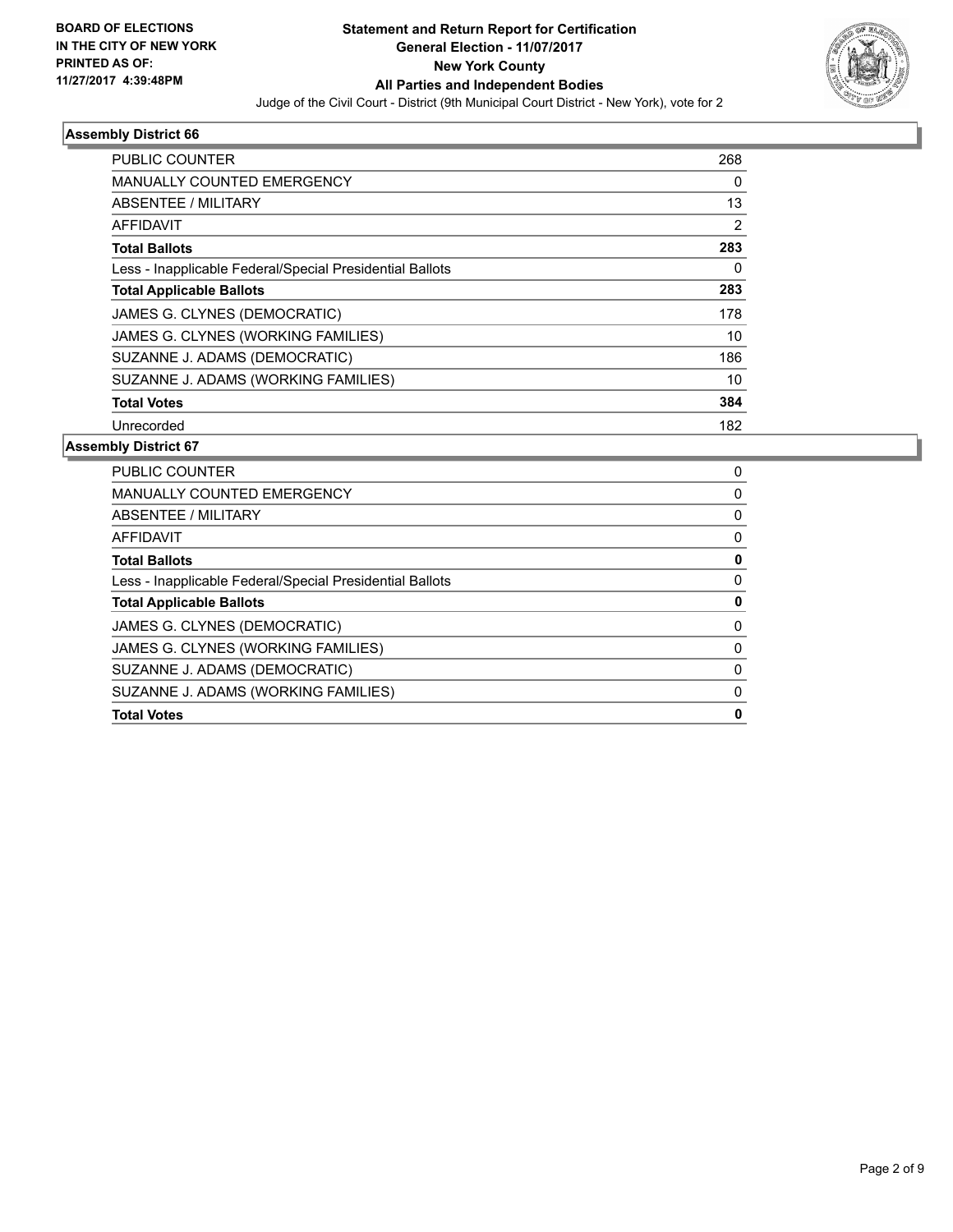

| <b>PUBLIC COUNTER</b>                                    | 268            |
|----------------------------------------------------------|----------------|
| <b>MANUALLY COUNTED EMERGENCY</b>                        | 0              |
| ABSENTEE / MILITARY                                      | 13             |
| AFFIDAVIT                                                | $\overline{2}$ |
| <b>Total Ballots</b>                                     | 283            |
| Less - Inapplicable Federal/Special Presidential Ballots | 0              |
| <b>Total Applicable Ballots</b>                          | 283            |
| JAMES G. CLYNES (DEMOCRATIC)                             | 178            |
| JAMES G. CLYNES (WORKING FAMILIES)                       | 10             |
| SUZANNE J. ADAMS (DEMOCRATIC)                            | 186            |
| SUZANNE J. ADAMS (WORKING FAMILIES)                      | 10             |
| <b>Total Votes</b>                                       | 384            |
| Unrecorded                                               | 182            |

| 0 |
|---|
| 0 |
| 0 |
| 0 |
| 0 |
| 0 |
| 0 |
| 0 |
| 0 |
| 0 |
| 0 |
| 0 |
|   |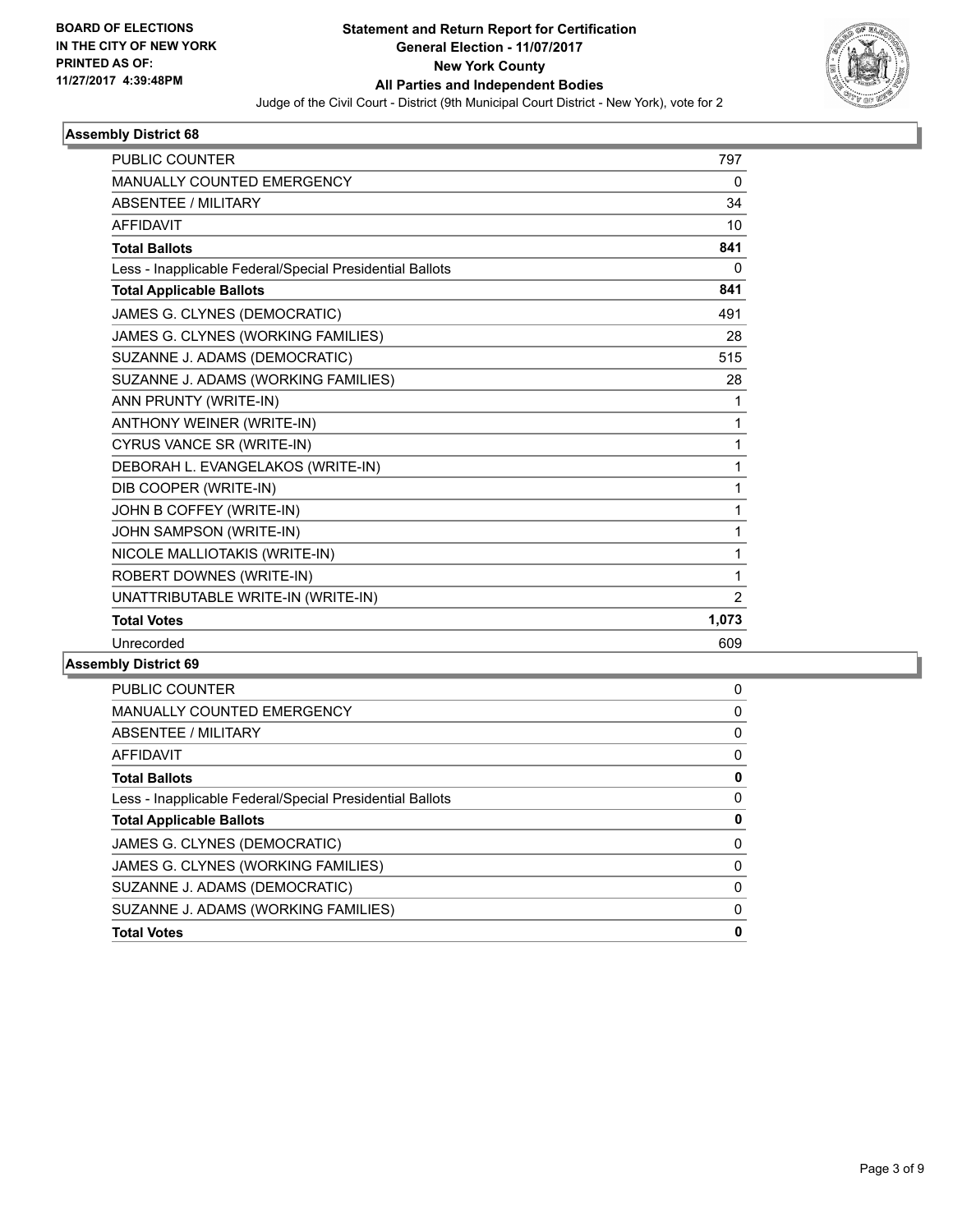

| <b>MANUALLY COUNTED EMERGENCY</b><br>0<br><b>ABSENTEE / MILITARY</b><br>34<br><b>AFFIDAVIT</b><br>10<br>841<br><b>Total Ballots</b><br>0<br>Less - Inapplicable Federal/Special Presidential Ballots<br>841<br><b>Total Applicable Ballots</b><br>JAMES G. CLYNES (DEMOCRATIC)<br>491<br>JAMES G. CLYNES (WORKING FAMILIES)<br>28<br>SUZANNE J. ADAMS (DEMOCRATIC)<br>515<br>SUZANNE J. ADAMS (WORKING FAMILIES)<br>28<br>ANN PRUNTY (WRITE-IN)<br>1<br>ANTHONY WEINER (WRITE-IN)<br>1<br>CYRUS VANCE SR (WRITE-IN)<br>1<br>DEBORAH L. EVANGELAKOS (WRITE-IN)<br>1<br>DIB COOPER (WRITE-IN)<br>1<br>JOHN B COFFEY (WRITE-IN)<br>1<br>JOHN SAMPSON (WRITE-IN)<br>1 |
|-------------------------------------------------------------------------------------------------------------------------------------------------------------------------------------------------------------------------------------------------------------------------------------------------------------------------------------------------------------------------------------------------------------------------------------------------------------------------------------------------------------------------------------------------------------------------------------------------------------------------------------------------------------------|
|                                                                                                                                                                                                                                                                                                                                                                                                                                                                                                                                                                                                                                                                   |
|                                                                                                                                                                                                                                                                                                                                                                                                                                                                                                                                                                                                                                                                   |
|                                                                                                                                                                                                                                                                                                                                                                                                                                                                                                                                                                                                                                                                   |
|                                                                                                                                                                                                                                                                                                                                                                                                                                                                                                                                                                                                                                                                   |
|                                                                                                                                                                                                                                                                                                                                                                                                                                                                                                                                                                                                                                                                   |
|                                                                                                                                                                                                                                                                                                                                                                                                                                                                                                                                                                                                                                                                   |
|                                                                                                                                                                                                                                                                                                                                                                                                                                                                                                                                                                                                                                                                   |
|                                                                                                                                                                                                                                                                                                                                                                                                                                                                                                                                                                                                                                                                   |
|                                                                                                                                                                                                                                                                                                                                                                                                                                                                                                                                                                                                                                                                   |
|                                                                                                                                                                                                                                                                                                                                                                                                                                                                                                                                                                                                                                                                   |
|                                                                                                                                                                                                                                                                                                                                                                                                                                                                                                                                                                                                                                                                   |
|                                                                                                                                                                                                                                                                                                                                                                                                                                                                                                                                                                                                                                                                   |
|                                                                                                                                                                                                                                                                                                                                                                                                                                                                                                                                                                                                                                                                   |
|                                                                                                                                                                                                                                                                                                                                                                                                                                                                                                                                                                                                                                                                   |
|                                                                                                                                                                                                                                                                                                                                                                                                                                                                                                                                                                                                                                                                   |
|                                                                                                                                                                                                                                                                                                                                                                                                                                                                                                                                                                                                                                                                   |
|                                                                                                                                                                                                                                                                                                                                                                                                                                                                                                                                                                                                                                                                   |
| NICOLE MALLIOTAKIS (WRITE-IN)<br>1                                                                                                                                                                                                                                                                                                                                                                                                                                                                                                                                                                                                                                |
| ROBERT DOWNES (WRITE-IN)<br>1                                                                                                                                                                                                                                                                                                                                                                                                                                                                                                                                                                                                                                     |
| UNATTRIBUTABLE WRITE-IN (WRITE-IN)<br>$\overline{2}$                                                                                                                                                                                                                                                                                                                                                                                                                                                                                                                                                                                                              |
| 1,073<br><b>Total Votes</b>                                                                                                                                                                                                                                                                                                                                                                                                                                                                                                                                                                                                                                       |
| Unrecorded<br>609                                                                                                                                                                                                                                                                                                                                                                                                                                                                                                                                                                                                                                                 |

| 0 |
|---|
| 0 |
| 0 |
| 0 |
| 0 |
| 0 |
| 0 |
| 0 |
| 0 |
| 0 |
| 0 |
| 0 |
|   |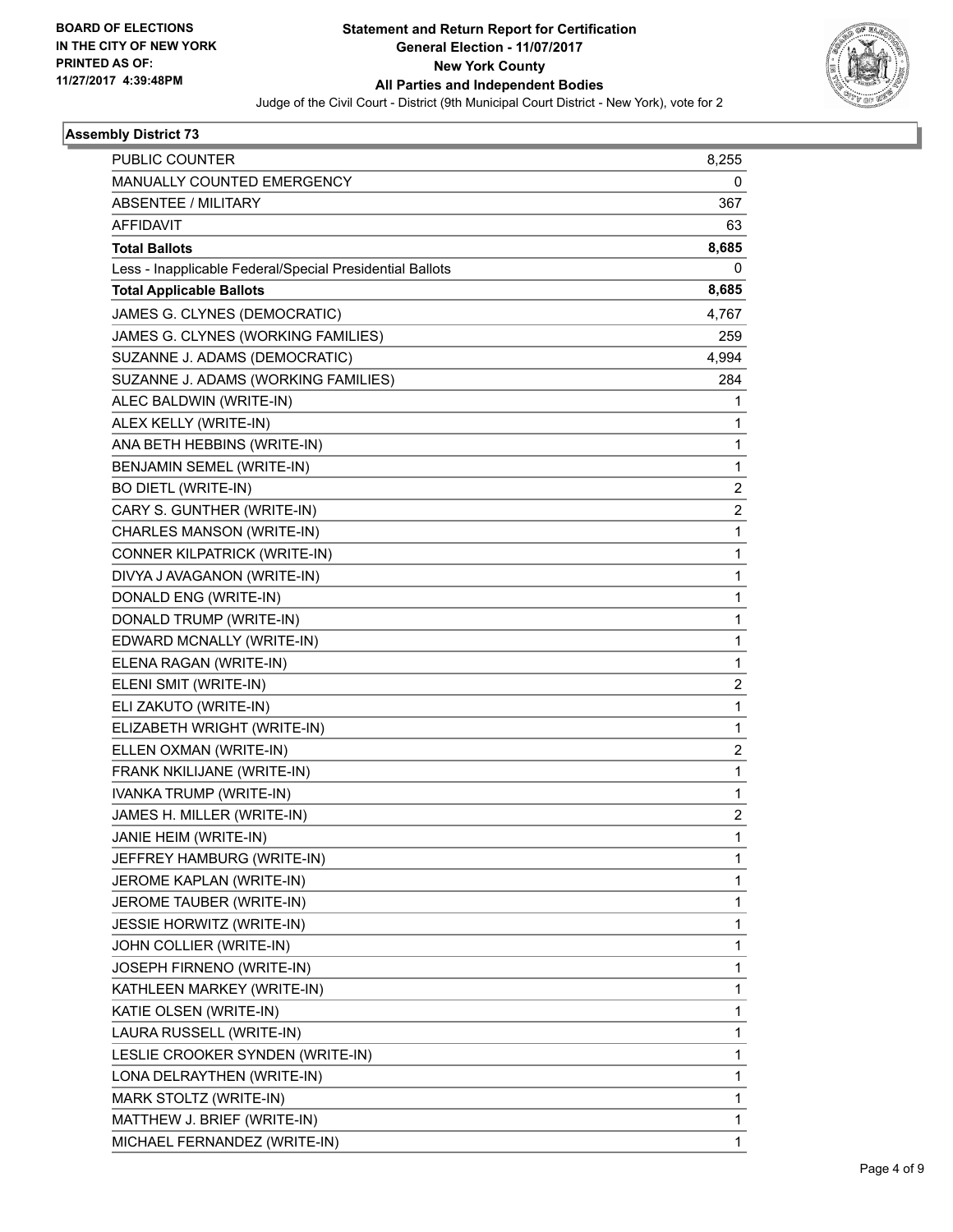

| PUBLIC COUNTER                                           | 8,255                   |
|----------------------------------------------------------|-------------------------|
| MANUALLY COUNTED EMERGENCY                               | 0                       |
| ABSENTEE / MILITARY                                      | 367                     |
| <b>AFFIDAVIT</b>                                         | 63                      |
| <b>Total Ballots</b>                                     | 8,685                   |
| Less - Inapplicable Federal/Special Presidential Ballots | 0                       |
| <b>Total Applicable Ballots</b>                          | 8,685                   |
| JAMES G. CLYNES (DEMOCRATIC)                             | 4,767                   |
| JAMES G. CLYNES (WORKING FAMILIES)                       | 259                     |
| SUZANNE J. ADAMS (DEMOCRATIC)                            | 4,994                   |
| SUZANNE J. ADAMS (WORKING FAMILIES)                      | 284                     |
| ALEC BALDWIN (WRITE-IN)                                  | 1                       |
| ALEX KELLY (WRITE-IN)                                    | 1                       |
| ANA BETH HEBBINS (WRITE-IN)                              | 1                       |
| BENJAMIN SEMEL (WRITE-IN)                                | 1                       |
| <b>BO DIETL (WRITE-IN)</b>                               | $\overline{c}$          |
| CARY S. GUNTHER (WRITE-IN)                               | $\overline{\mathbf{c}}$ |
| CHARLES MANSON (WRITE-IN)                                | 1                       |
| CONNER KILPATRICK (WRITE-IN)                             | 1                       |
| DIVYA J AVAGANON (WRITE-IN)                              | 1                       |
| DONALD ENG (WRITE-IN)                                    | 1                       |
| DONALD TRUMP (WRITE-IN)                                  | 1                       |
| EDWARD MCNALLY (WRITE-IN)                                | 1                       |
| ELENA RAGAN (WRITE-IN)                                   | 1                       |
| ELENI SMIT (WRITE-IN)                                    | 2                       |
| ELI ZAKUTO (WRITE-IN)                                    | 1                       |
| ELIZABETH WRIGHT (WRITE-IN)                              | 1                       |
| ELLEN OXMAN (WRITE-IN)                                   | $\overline{\mathbf{c}}$ |
| FRANK NKILIJANE (WRITE-IN)                               | 1                       |
| IVANKA TRUMP (WRITE-IN)                                  | 1                       |
| JAMES H. MILLER (WRITE-IN)                               | $\overline{\mathbf{c}}$ |
| JANIE HEIM (WRITE-IN)                                    | 1                       |
| JEFFREY HAMBURG (WRITE-IN)                               | 1                       |
| JEROME KAPLAN (WRITE-IN)                                 | 1                       |
| JEROME TAUBER (WRITE-IN)                                 | 1                       |
| JESSIE HORWITZ (WRITE-IN)                                | 1                       |
| JOHN COLLIER (WRITE-IN)                                  | 1                       |
| JOSEPH FIRNENO (WRITE-IN)                                | 1                       |
| KATHLEEN MARKEY (WRITE-IN)                               | 1                       |
| KATIE OLSEN (WRITE-IN)                                   | 1                       |
| LAURA RUSSELL (WRITE-IN)                                 | 1                       |
| LESLIE CROOKER SYNDEN (WRITE-IN)                         | 1                       |
| LONA DELRAYTHEN (WRITE-IN)                               | 1                       |
| MARK STOLTZ (WRITE-IN)                                   | 1                       |
| MATTHEW J. BRIEF (WRITE-IN)                              | 1                       |
| MICHAEL FERNANDEZ (WRITE-IN)                             | 1                       |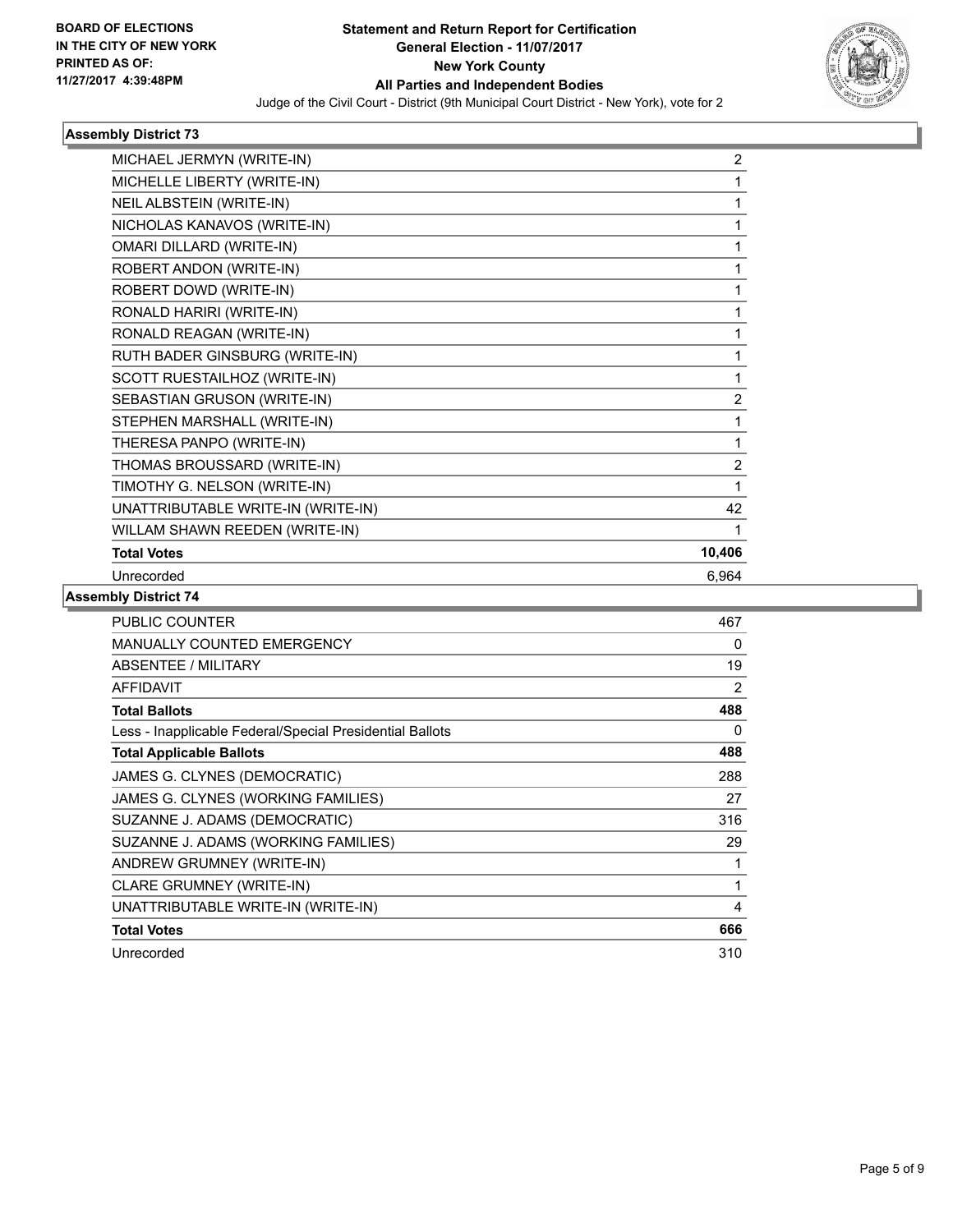

| 2      |
|--------|
| 1      |
| 1      |
| 1      |
| 1      |
|        |
| 1      |
| 1      |
| 1      |
| 1      |
| 1      |
| 2      |
| 1      |
| 1      |
| 2      |
| 1      |
| 42     |
|        |
| 10,406 |
| 6,964  |
|        |

| <b>PUBLIC COUNTER</b>                                    | 467 |
|----------------------------------------------------------|-----|
| MANUALLY COUNTED EMERGENCY                               | 0   |
| <b>ABSENTEE / MILITARY</b>                               | 19  |
| <b>AFFIDAVIT</b>                                         | 2   |
| <b>Total Ballots</b>                                     | 488 |
| Less - Inapplicable Federal/Special Presidential Ballots | 0   |
| <b>Total Applicable Ballots</b>                          | 488 |
| JAMES G. CLYNES (DEMOCRATIC)                             | 288 |
| JAMES G. CLYNES (WORKING FAMILIES)                       | 27  |
| SUZANNE J. ADAMS (DEMOCRATIC)                            | 316 |
| SUZANNE J. ADAMS (WORKING FAMILIES)                      | 29  |
| ANDREW GRUMNEY (WRITE-IN)                                | 1   |
| <b>CLARE GRUMNEY (WRITE-IN)</b>                          | 1   |
| UNATTRIBUTABLE WRITE-IN (WRITE-IN)                       | 4   |
| <b>Total Votes</b>                                       | 666 |
| Unrecorded                                               | 310 |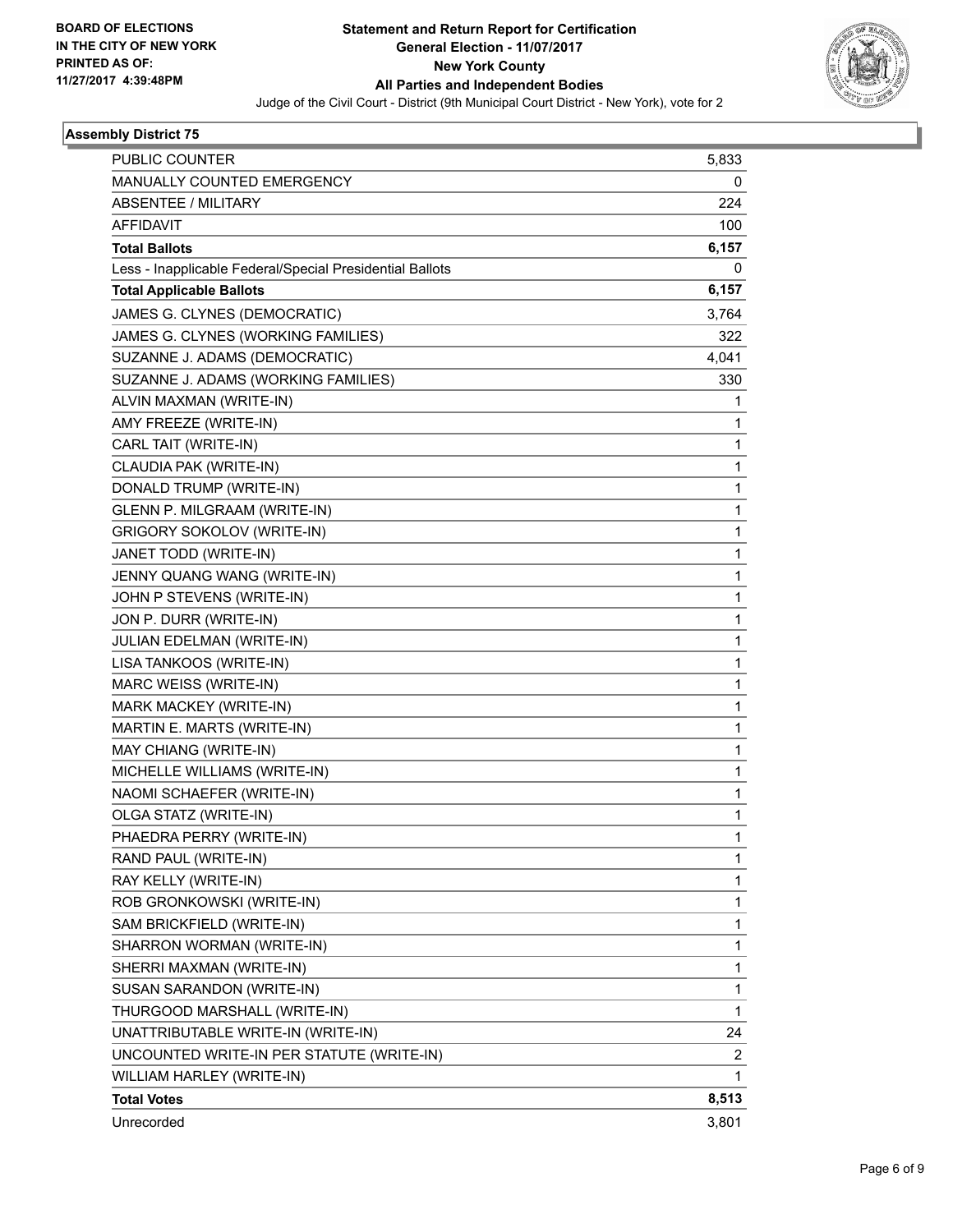

| PUBLIC COUNTER                                           | 5,833        |
|----------------------------------------------------------|--------------|
| MANUALLY COUNTED EMERGENCY                               | 0            |
| ABSENTEE / MILITARY                                      | 224          |
| <b>AFFIDAVIT</b>                                         | 100          |
| <b>Total Ballots</b>                                     | 6,157        |
| Less - Inapplicable Federal/Special Presidential Ballots | 0            |
| <b>Total Applicable Ballots</b>                          | 6,157        |
| JAMES G. CLYNES (DEMOCRATIC)                             | 3,764        |
| JAMES G. CLYNES (WORKING FAMILIES)                       | 322          |
| SUZANNE J. ADAMS (DEMOCRATIC)                            | 4,041        |
| SUZANNE J. ADAMS (WORKING FAMILIES)                      | 330          |
| ALVIN MAXMAN (WRITE-IN)                                  | 1            |
| AMY FREEZE (WRITE-IN)                                    | 1            |
| CARL TAIT (WRITE-IN)                                     | $\mathbf{1}$ |
| CLAUDIA PAK (WRITE-IN)                                   | 1            |
| DONALD TRUMP (WRITE-IN)                                  | 1            |
| GLENN P. MILGRAAM (WRITE-IN)                             | $\mathbf{1}$ |
| <b>GRIGORY SOKOLOV (WRITE-IN)</b>                        | 1            |
| JANET TODD (WRITE-IN)                                    | 1            |
| JENNY QUANG WANG (WRITE-IN)                              | $\mathbf{1}$ |
| JOHN P STEVENS (WRITE-IN)                                | 1            |
| JON P. DURR (WRITE-IN)                                   | 1            |
| JULIAN EDELMAN (WRITE-IN)                                | $\mathbf{1}$ |
| LISA TANKOOS (WRITE-IN)                                  | 1            |
| MARC WEISS (WRITE-IN)                                    | 1            |
| MARK MACKEY (WRITE-IN)                                   | 1            |
| MARTIN E. MARTS (WRITE-IN)                               | 1            |
| MAY CHIANG (WRITE-IN)                                    | 1            |
| MICHELLE WILLIAMS (WRITE-IN)                             | 1            |
| NAOMI SCHAEFER (WRITE-IN)                                | 1            |
| OLGA STATZ (WRITE-IN)                                    | 1            |
| PHAEDRA PERRY (WRITE-IN)                                 | 1            |
| RAND PAUL (WRITE-IN)                                     | 1            |
| RAY KELLY (WRITE-IN)                                     | 1            |
| ROB GRONKOWSKI (WRITE-IN)                                | 1            |
| SAM BRICKFIELD (WRITE-IN)                                | 1            |
| SHARRON WORMAN (WRITE-IN)                                | 1            |
| SHERRI MAXMAN (WRITE-IN)                                 | 1            |
| SUSAN SARANDON (WRITE-IN)                                | 1            |
| THURGOOD MARSHALL (WRITE-IN)                             | 1            |
| UNATTRIBUTABLE WRITE-IN (WRITE-IN)                       | 24           |
| UNCOUNTED WRITE-IN PER STATUTE (WRITE-IN)                | 2            |
| WILLIAM HARLEY (WRITE-IN)                                | 1            |
| <b>Total Votes</b>                                       | 8,513        |
| Unrecorded                                               | 3,801        |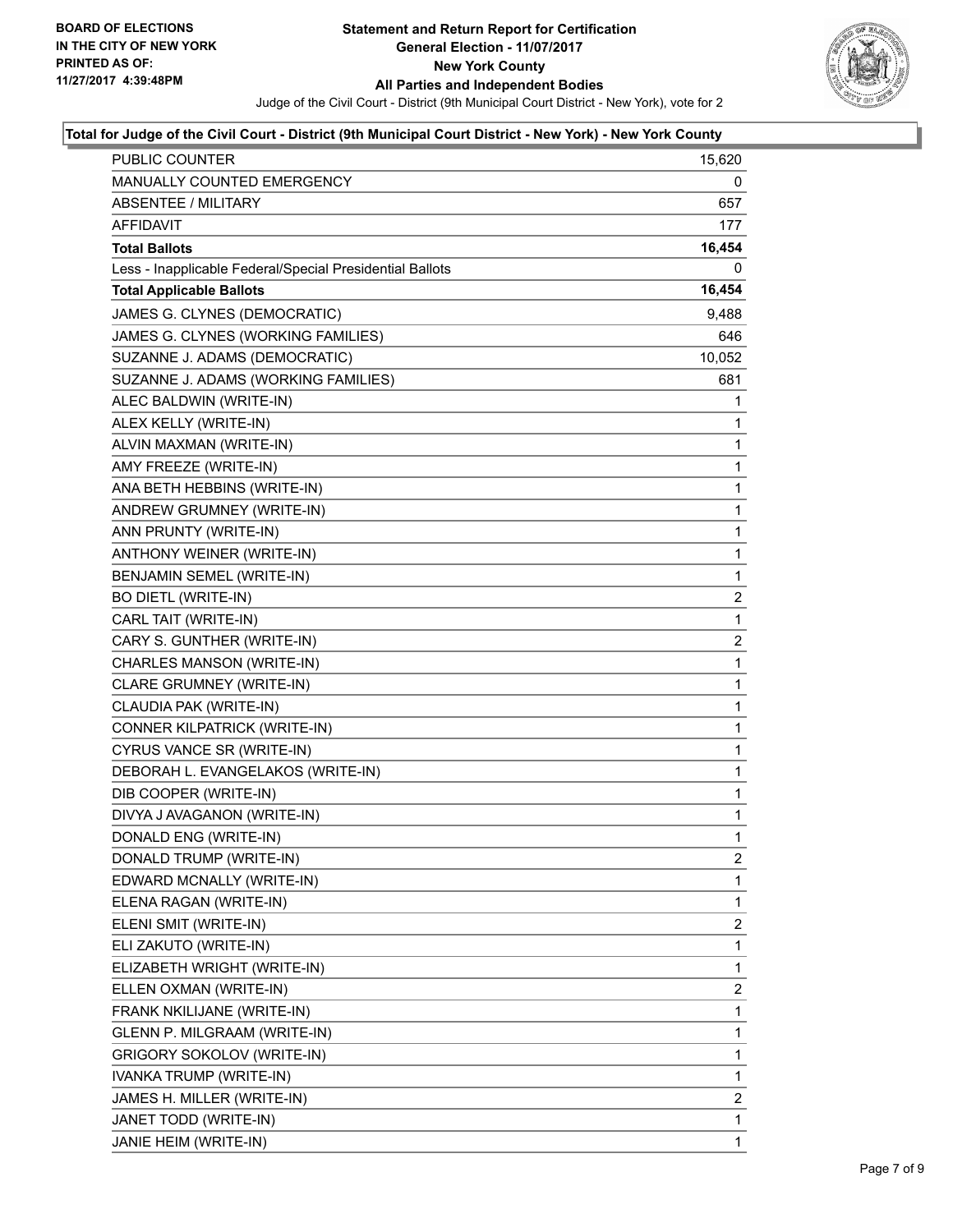

#### **Total for Judge of the Civil Court - District (9th Municipal Court District - New York) - New York County**

| PUBLIC COUNTER                                           | 15,620                |
|----------------------------------------------------------|-----------------------|
| MANUALLY COUNTED EMERGENCY                               | 0                     |
| <b>ABSENTEE / MILITARY</b>                               | 657                   |
| AFFIDAVIT                                                | 177                   |
| <b>Total Ballots</b>                                     | 16,454                |
| Less - Inapplicable Federal/Special Presidential Ballots | 0                     |
| <b>Total Applicable Ballots</b>                          | 16,454                |
| JAMES G. CLYNES (DEMOCRATIC)                             | 9,488                 |
| JAMES G. CLYNES (WORKING FAMILIES)                       | 646                   |
| SUZANNE J. ADAMS (DEMOCRATIC)                            | 10,052                |
| SUZANNE J. ADAMS (WORKING FAMILIES)                      | 681                   |
| ALEC BALDWIN (WRITE-IN)                                  | 1                     |
| ALEX KELLY (WRITE-IN)                                    | 1                     |
| ALVIN MAXMAN (WRITE-IN)                                  | 1                     |
| AMY FREEZE (WRITE-IN)                                    | 1                     |
| ANA BETH HEBBINS (WRITE-IN)                              | 1                     |
| ANDREW GRUMNEY (WRITE-IN)                                | 1                     |
| ANN PRUNTY (WRITE-IN)                                    | 1                     |
| ANTHONY WEINER (WRITE-IN)                                | 1                     |
| <b>BENJAMIN SEMEL (WRITE-IN)</b>                         | $\mathbf{1}$          |
| <b>BO DIETL (WRITE-IN)</b>                               | $\mathbf{2}^{\prime}$ |
| CARL TAIT (WRITE-IN)                                     | 1                     |
| CARY S. GUNTHER (WRITE-IN)                               | $\overline{2}$        |
| CHARLES MANSON (WRITE-IN)                                | 1                     |
| CLARE GRUMNEY (WRITE-IN)                                 | 1                     |
| CLAUDIA PAK (WRITE-IN)                                   | $\mathbf{1}$          |
| CONNER KILPATRICK (WRITE-IN)                             | 1                     |
| CYRUS VANCE SR (WRITE-IN)                                | 1                     |
| DEBORAH L. EVANGELAKOS (WRITE-IN)                        | $\mathbf{1}$          |
| DIB COOPER (WRITE-IN)                                    | 1                     |
| DIVYA J AVAGANON (WRITE-IN)                              | 1                     |
| DONALD ENG (WRITE-IN)                                    | $\mathbf{1}$          |
| DONALD TRUMP (WRITE-IN)                                  | 2                     |
| EDWARD MCNALLY (WRITE-IN)                                | 1                     |
| ELENA RAGAN (WRITE-IN)                                   | 1                     |
| ELENI SMIT (WRITE-IN)                                    | 2                     |
| ELI ZAKUTO (WRITE-IN)                                    | 1                     |
| ELIZABETH WRIGHT (WRITE-IN)                              | 1                     |
| ELLEN OXMAN (WRITE-IN)                                   | 2                     |
| FRANK NKILIJANE (WRITE-IN)                               | 1                     |
| GLENN P. MILGRAAM (WRITE-IN)                             | 1                     |
| <b>GRIGORY SOKOLOV (WRITE-IN)</b>                        | 1                     |
| IVANKA TRUMP (WRITE-IN)                                  | 1                     |
| JAMES H. MILLER (WRITE-IN)                               | $\overline{2}$        |
| JANET TODD (WRITE-IN)                                    | 1                     |
| JANIE HEIM (WRITE-IN)                                    | 1                     |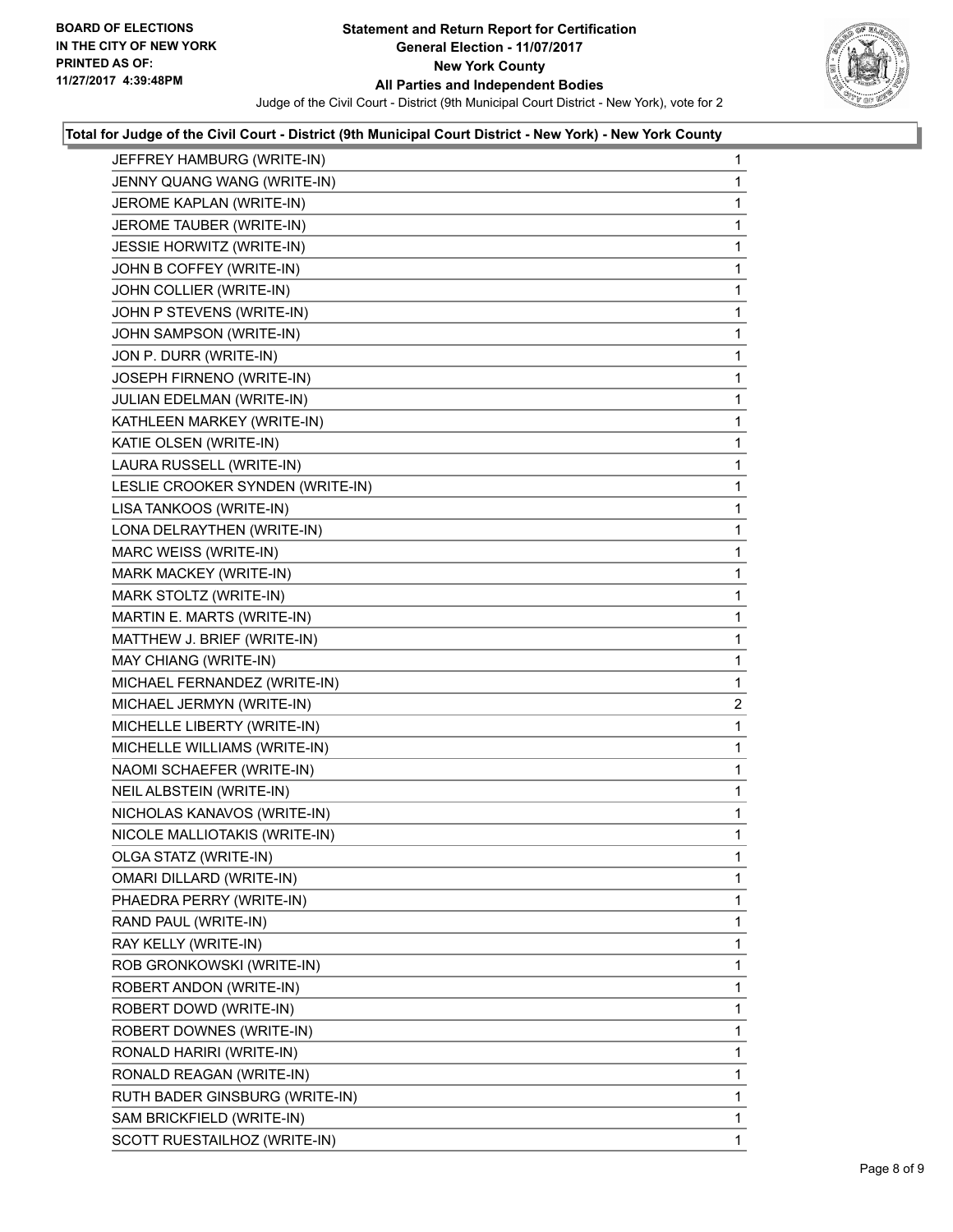

### **Total for Judge of the Civil Court - District (9th Municipal Court District - New York) - New York County**

| JEFFREY HAMBURG (WRITE-IN)       | 1 |
|----------------------------------|---|
| JENNY QUANG WANG (WRITE-IN)      | 1 |
| JEROME KAPLAN (WRITE-IN)         | 1 |
| JEROME TAUBER (WRITE-IN)         | 1 |
| JESSIE HORWITZ (WRITE-IN)        | 1 |
| JOHN B COFFEY (WRITE-IN)         | 1 |
| JOHN COLLIER (WRITE-IN)          | 1 |
| JOHN P STEVENS (WRITE-IN)        | 1 |
| JOHN SAMPSON (WRITE-IN)          | 1 |
| JON P. DURR (WRITE-IN)           | 1 |
| JOSEPH FIRNENO (WRITE-IN)        | 1 |
| JULIAN EDELMAN (WRITE-IN)        | 1 |
| KATHLEEN MARKEY (WRITE-IN)       | 1 |
| KATIE OLSEN (WRITE-IN)           | 1 |
| LAURA RUSSELL (WRITE-IN)         | 1 |
| LESLIE CROOKER SYNDEN (WRITE-IN) | 1 |
| LISA TANKOOS (WRITE-IN)          | 1 |
| LONA DELRAYTHEN (WRITE-IN)       | 1 |
| MARC WEISS (WRITE-IN)            | 1 |
| MARK MACKEY (WRITE-IN)           | 1 |
| MARK STOLTZ (WRITE-IN)           | 1 |
| MARTIN E. MARTS (WRITE-IN)       | 1 |
| MATTHEW J. BRIEF (WRITE-IN)      | 1 |
| MAY CHIANG (WRITE-IN)            | 1 |
| MICHAEL FERNANDEZ (WRITE-IN)     | 1 |
| MICHAEL JERMYN (WRITE-IN)        | 2 |
| MICHELLE LIBERTY (WRITE-IN)      | 1 |
| MICHELLE WILLIAMS (WRITE-IN)     | 1 |
| NAOMI SCHAEFER (WRITE-IN)        | 1 |
| NEIL ALBSTEIN (WRITE-IN)         | 1 |
| NICHOLAS KANAVOS (WRITE-IN)      | 1 |
| NICOLE MALLIOTAKIS (WRITE-IN)    | 1 |
| OLGA STATZ (WRITE-IN)            | 1 |
| <b>OMARI DILLARD (WRITE-IN)</b>  | 1 |
| PHAEDRA PERRY (WRITE-IN)         | 1 |
| RAND PAUL (WRITE-IN)             | 1 |
| RAY KELLY (WRITE-IN)             | 1 |
| ROB GRONKOWSKI (WRITE-IN)        | 1 |
| ROBERT ANDON (WRITE-IN)          | 1 |
| ROBERT DOWD (WRITE-IN)           | 1 |
| ROBERT DOWNES (WRITE-IN)         | 1 |
| RONALD HARIRI (WRITE-IN)         |   |
|                                  | 1 |
| RONALD REAGAN (WRITE-IN)         | 1 |
| RUTH BADER GINSBURG (WRITE-IN)   | 1 |
| SAM BRICKFIELD (WRITE-IN)        | 1 |
| SCOTT RUESTAILHOZ (WRITE-IN)     | 1 |